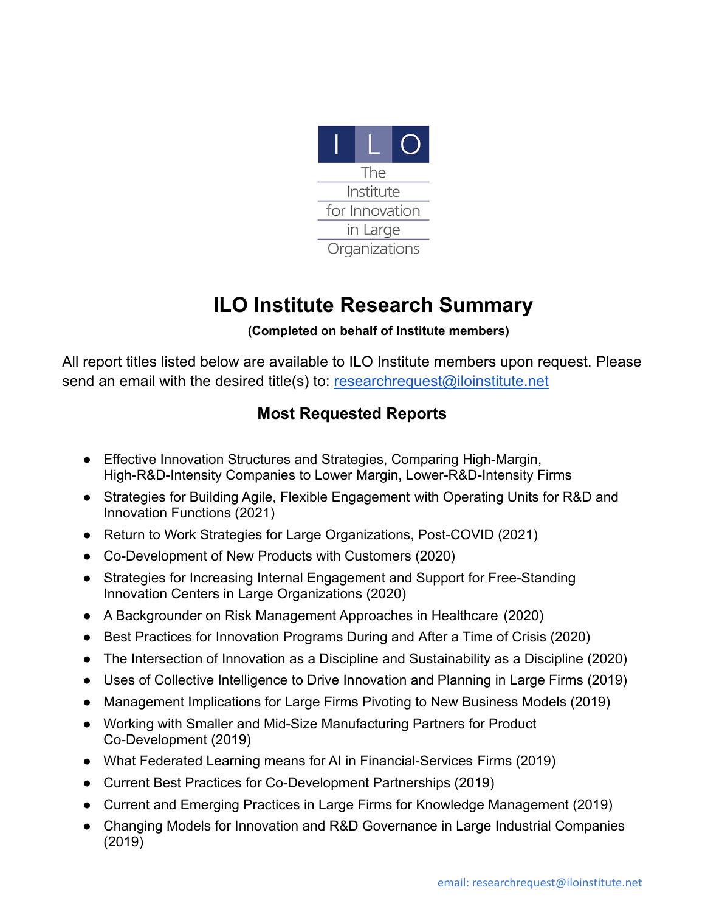

## **ILO Institute Research Summary**

## **(Completed on behalf of Institute members)**

All report titles listed below are available to ILO Institute members upon request. Please send an email with the desired title(s) to: [researchrequest@iloinstitute.net](mailto:researchrequest@iloinstitute.net)

## **Most Requested Reports**

- Effective Innovation Structures and Strategies, Comparing High-Margin, High-R&D-Intensity Companies to Lower Margin, Lower-R&D-Intensity Firms
- Strategies for Building Agile, Flexible Engagement with Operating Units for R&D and Innovation Functions (2021)
- Return to Work Strategies for Large Organizations, Post-COVID (2021)
- Co-Development of New Products with Customers (2020)
- Strategies for Increasing Internal Engagement and Support for Free-Standing Innovation Centers in Large Organizations (2020)
- A Backgrounder on Risk Management Approaches in Healthcare (2020)
- Best Practices for Innovation Programs During and After a Time of Crisis (2020)
- The Intersection of Innovation as a Discipline and Sustainability as a Discipline (2020)
- Uses of Collective Intelligence to Drive Innovation and Planning in Large Firms (2019)
- Management Implications for Large Firms Pivoting to New Business Models (2019)
- Working with Smaller and Mid-Size Manufacturing Partners for Product Co-Development (2019)
- What Federated Learning means for AI in Financial-Services Firms (2019)
- Current Best Practices for Co-Development Partnerships (2019)
- Current and Emerging Practices in Large Firms for Knowledge Management (2019)
- Changing Models for Innovation and R&D Governance in Large Industrial Companies (2019)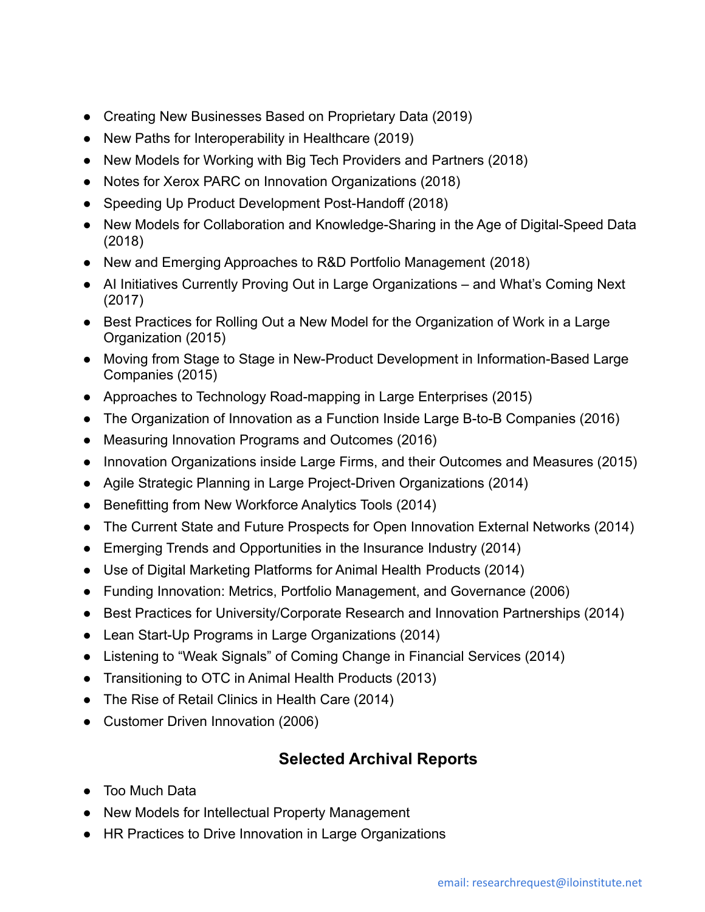- Creating New Businesses Based on Proprietary Data (2019)
- New Paths for Interoperability in Healthcare (2019)
- New Models for Working with Big Tech Providers and Partners (2018)
- Notes for Xerox PARC on Innovation Organizations (2018)
- Speeding Up Product Development Post-Handoff (2018)
- New Models for Collaboration and Knowledge-Sharing in the Age of Digital-Speed Data (2018)
- New and Emerging Approaches to R&D Portfolio Management (2018)
- AI Initiatives Currently Proving Out in Large Organizations and What's Coming Next (2017)
- Best Practices for Rolling Out a New Model for the Organization of Work in a Large Organization (2015)
- Moving from Stage to Stage in New-Product Development in Information-Based Large Companies (2015)
- Approaches to Technology Road-mapping in Large Enterprises (2015)
- The Organization of Innovation as a Function Inside Large B-to-B Companies (2016)
- Measuring Innovation Programs and Outcomes (2016)
- Innovation Organizations inside Large Firms, and their Outcomes and Measures (2015)
- Agile Strategic Planning in Large Project-Driven Organizations (2014)
- Benefitting from New Workforce Analytics Tools (2014)
- The Current State and Future Prospects for Open Innovation External Networks (2014)
- Emerging Trends and Opportunities in the Insurance Industry (2014)
- Use of Digital Marketing Platforms for Animal Health Products (2014)
- Funding Innovation: Metrics, Portfolio Management, and Governance (2006)
- Best Practices for University/Corporate Research and Innovation Partnerships (2014)
- Lean Start-Up Programs in Large Organizations (2014)
- Listening to "Weak Signals" of Coming Change in Financial Services (2014)
- Transitioning to OTC in Animal Health Products (2013)
- The Rise of Retail Clinics in Health Care (2014)
- Customer Driven Innovation (2006)

## **Selected Archival Reports**

- Too Much Data
- New Models for Intellectual Property Management
- HR Practices to Drive Innovation in Large Organizations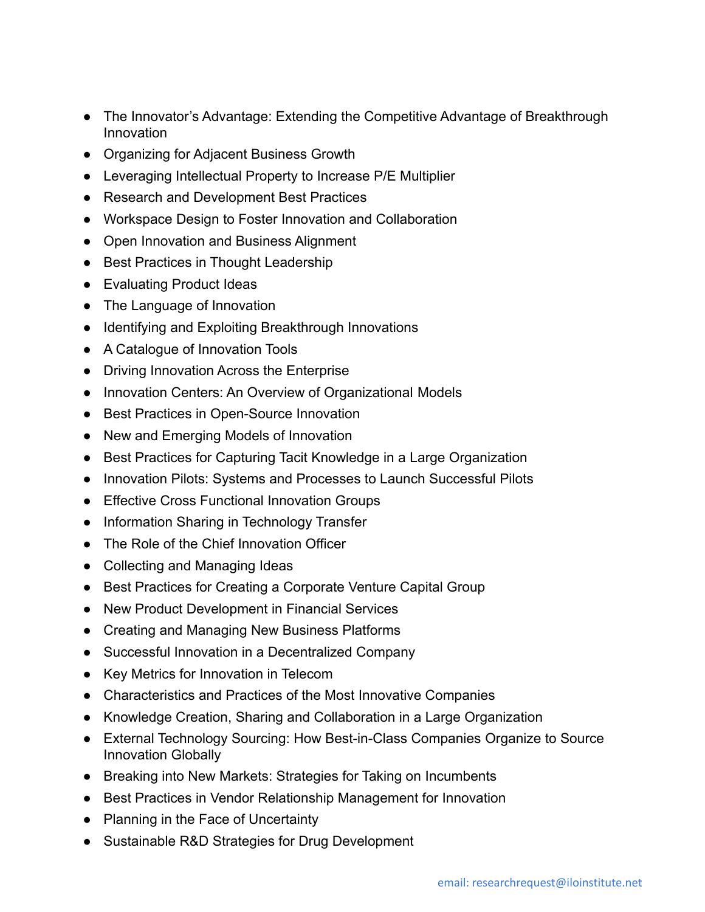- The Innovator's Advantage: Extending the Competitive Advantage of Breakthrough Innovation
- Organizing for Adjacent Business Growth
- Leveraging Intellectual Property to Increase P/E Multiplier
- Research and Development Best Practices
- Workspace Design to Foster Innovation and Collaboration
- Open Innovation and Business Alignment
- Best Practices in Thought Leadership
- Evaluating Product Ideas
- The Language of Innovation
- Identifying and Exploiting Breakthrough Innovations
- A Catalogue of Innovation Tools
- Driving Innovation Across the Enterprise
- Innovation Centers: An Overview of Organizational Models
- Best Practices in Open-Source Innovation
- New and Emerging Models of Innovation
- Best Practices for Capturing Tacit Knowledge in a Large Organization
- Innovation Pilots: Systems and Processes to Launch Successful Pilots
- Effective Cross Functional Innovation Groups
- Information Sharing in Technology Transfer
- The Role of the Chief Innovation Officer
- Collecting and Managing Ideas
- Best Practices for Creating a Corporate Venture Capital Group
- New Product Development in Financial Services
- Creating and Managing New Business Platforms
- Successful Innovation in a Decentralized Company
- Key Metrics for Innovation in Telecom
- Characteristics and Practices of the Most Innovative Companies
- Knowledge Creation, Sharing and Collaboration in a Large Organization
- External Technology Sourcing: How Best-in-Class Companies Organize to Source Innovation Globally
- Breaking into New Markets: Strategies for Taking on Incumbents
- Best Practices in Vendor Relationship Management for Innovation
- Planning in the Face of Uncertainty
- Sustainable R&D Strategies for Drug Development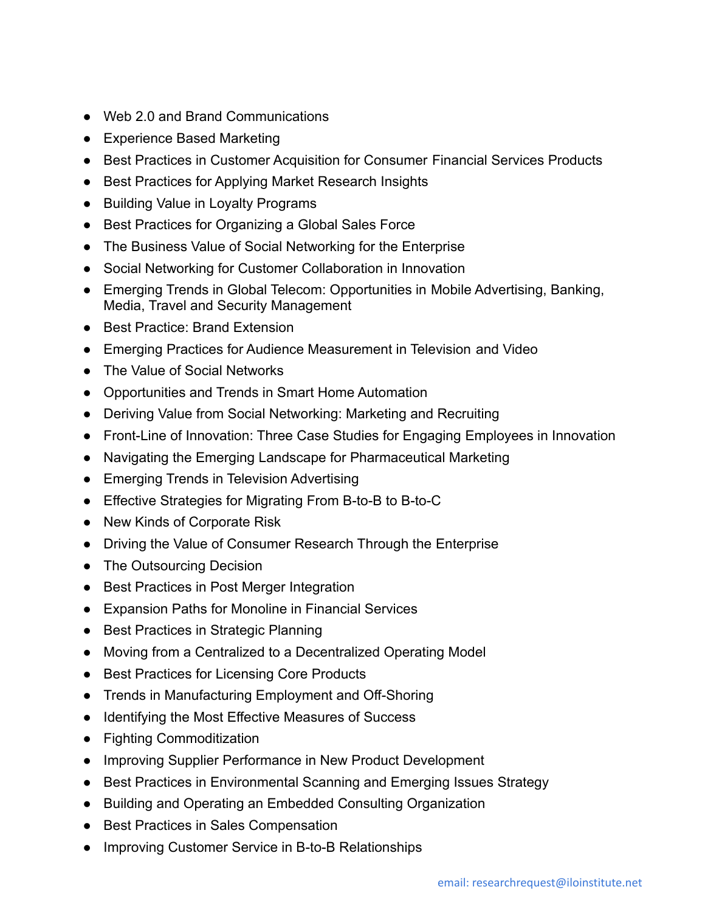- Web 2.0 and Brand Communications
- Experience Based Marketing
- Best Practices in Customer Acquisition for Consumer Financial Services Products
- Best Practices for Applying Market Research Insights
- Building Value in Loyalty Programs
- Best Practices for Organizing a Global Sales Force
- The Business Value of Social Networking for the Enterprise
- Social Networking for Customer Collaboration in Innovation
- Emerging Trends in Global Telecom: Opportunities in Mobile Advertising, Banking, Media, Travel and Security Management
- Best Practice: Brand Extension
- Emerging Practices for Audience Measurement in Television and Video
- The Value of Social Networks
- Opportunities and Trends in Smart Home Automation
- Deriving Value from Social Networking: Marketing and Recruiting
- Front-Line of Innovation: Three Case Studies for Engaging Employees in Innovation
- Navigating the Emerging Landscape for Pharmaceutical Marketing
- Emerging Trends in Television Advertising
- Effective Strategies for Migrating From B-to-B to B-to-C
- New Kinds of Corporate Risk
- Driving the Value of Consumer Research Through the Enterprise
- The Outsourcing Decision
- Best Practices in Post Merger Integration
- Expansion Paths for Monoline in Financial Services
- Best Practices in Strategic Planning
- Moving from a Centralized to a Decentralized Operating Model
- Best Practices for Licensing Core Products
- Trends in Manufacturing Employment and Off-Shoring
- Identifying the Most Effective Measures of Success
- Fighting Commoditization
- Improving Supplier Performance in New Product Development
- Best Practices in Environmental Scanning and Emerging Issues Strategy
- Building and Operating an Embedded Consulting Organization
- Best Practices in Sales Compensation
- Improving Customer Service in B-to-B Relationships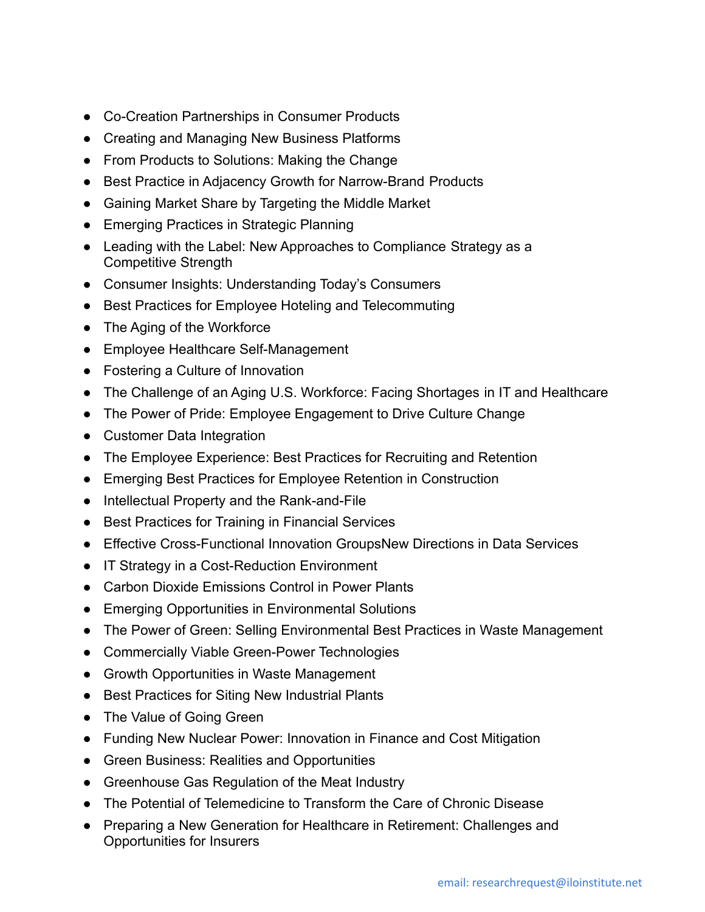- Co-Creation Partnerships in Consumer Products
- Creating and Managing New Business Platforms
- From Products to Solutions: Making the Change
- Best Practice in Adjacency Growth for Narrow-Brand Products
- Gaining Market Share by Targeting the Middle Market
- Emerging Practices in Strategic Planning
- Leading with the Label: New Approaches to Compliance Strategy as a Competitive Strength
- Consumer Insights: Understanding Today's Consumers
- Best Practices for Employee Hoteling and Telecommuting
- The Aging of the Workforce
- Employee Healthcare Self-Management
- Fostering a Culture of Innovation
- The Challenge of an Aging U.S. Workforce: Facing Shortages in IT and Healthcare
- The Power of Pride: Employee Engagement to Drive Culture Change
- Customer Data Integration
- The Employee Experience: Best Practices for Recruiting and Retention
- Emerging Best Practices for Employee Retention in Construction
- Intellectual Property and the Rank-and-File
- Best Practices for Training in Financial Services
- Effective Cross-Functional Innovation GroupsNew Directions in Data Services
- IT Strategy in a Cost-Reduction Environment
- Carbon Dioxide Emissions Control in Power Plants
- Emerging Opportunities in Environmental Solutions
- The Power of Green: Selling Environmental Best Practices in Waste Management
- Commercially Viable Green-Power Technologies
- Growth Opportunities in Waste Management
- Best Practices for Siting New Industrial Plants
- The Value of Going Green
- Funding New Nuclear Power: Innovation in Finance and Cost Mitigation
- Green Business: Realities and Opportunities
- Greenhouse Gas Regulation of the Meat Industry
- The Potential of Telemedicine to Transform the Care of Chronic Disease
- Preparing a New Generation for Healthcare in Retirement: Challenges and Opportunities for Insurers